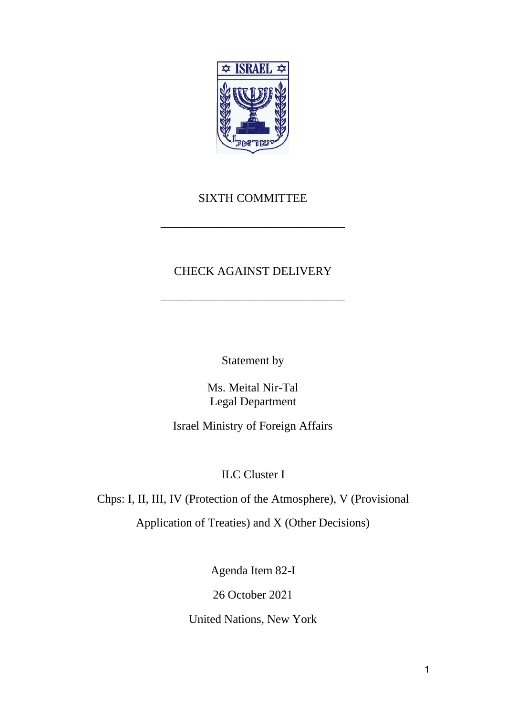

## SIXTH COMMITTEE

\_\_\_\_\_\_\_\_\_\_\_\_\_\_\_\_\_\_\_\_\_\_\_\_\_\_\_\_\_\_\_

## CHECK AGAINST DELIVERY

\_\_\_\_\_\_\_\_\_\_\_\_\_\_\_\_\_\_\_\_\_\_\_\_\_\_\_\_\_\_\_

Statement by

Ms. Meital Nir-Tal Legal Department

Israel Ministry of Foreign Affairs

ILC Cluster I

Chps: I, II, III, IV (Protection of the Atmosphere), V (Provisional

Application of Treaties) and X (Other Decisions)

Agenda Item 82-I

26 October 2021

United Nations, New York